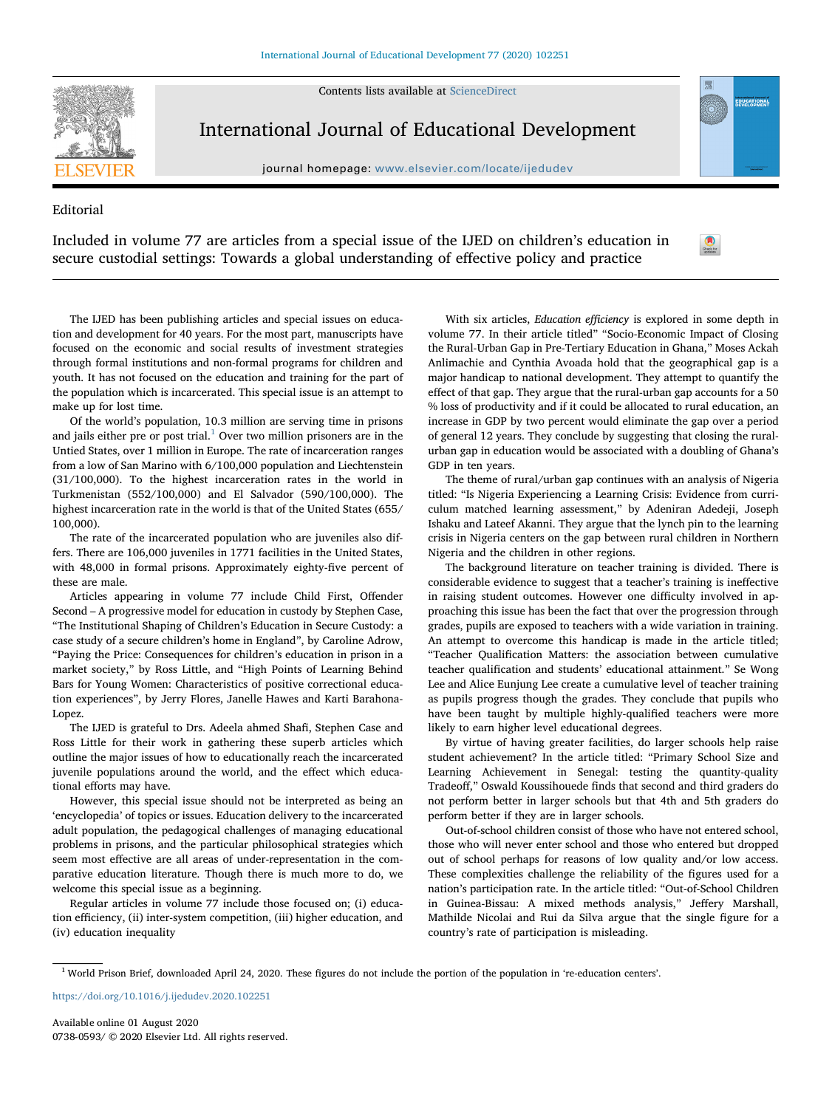Contents lists available at [ScienceDirect](http://www.sciencedirect.com/science/journal/07380593)



International Journal of Educational Development

journal homepage: [www.elsevier.com/locate/ijedudev](https://www.elsevier.com/locate/ijedudev)

## Editorial

Included in volume 77 are articles from a special issue of the IJED on children's education in secure custodial settings: Towards a global understanding of effective policy and practice

The IJED has been publishing articles and special issues on education and development for 40 years. For the most part, manuscripts have focused on the economic and social results of investment strategies through formal institutions and non-formal programs for children and youth. It has not focused on the education and training for the part of the population which is incarcerated. This special issue is an attempt to make up for lost time.

Of the world's population, 10.3 million are serving time in prisons and jails either pre or post trial.<sup>[1](#page-0-0)</sup> Over two million prisoners are in the Untied States, over 1 million in Europe. The rate of incarceration ranges from a low of San Marino with 6/100,000 population and Liechtenstein (31/100,000). To the highest incarceration rates in the world in Turkmenistan (552/100,000) and El Salvador (590/100,000). The highest incarceration rate in the world is that of the United States (655/ 100,000).

The rate of the incarcerated population who are juveniles also differs. There are 106,000 juveniles in 1771 facilities in the United States, with 48,000 in formal prisons. Approximately eighty-five percent of these are male.

Articles appearing in volume 77 include Child First, Offender Second – A progressive model for education in custody by Stephen Case, "The Institutional Shaping of Children's Education in Secure Custody: a case study of a secure children's home in England", by Caroline Adrow, "Paying the Price: Consequences for children's education in prison in a market society," by Ross Little, and "High Points of Learning Behind Bars for Young Women: Characteristics of positive correctional education experiences", by Jerry Flores, Janelle Hawes and Karti Barahona-Lopez.

The IJED is grateful to Drs. Adeela ahmed Shafi, Stephen Case and Ross Little for their work in gathering these superb articles which outline the major issues of how to educationally reach the incarcerated juvenile populations around the world, and the effect which educational efforts may have.

However, this special issue should not be interpreted as being an 'encyclopedia' of topics or issues. Education delivery to the incarcerated adult population, the pedagogical challenges of managing educational problems in prisons, and the particular philosophical strategies which seem most effective are all areas of under-representation in the comparative education literature. Though there is much more to do, we welcome this special issue as a beginning.

Regular articles in volume 77 include those focused on; (i) education efficiency, (ii) inter-system competition, (iii) higher education, and (iv) education inequality

With six articles, Education efficiency is explored in some depth in volume 77. In their article titled" "Socio-Economic Impact of Closing the Rural-Urban Gap in Pre-Tertiary Education in Ghana," Moses Ackah Anlimachie and Cynthia Avoada hold that the geographical gap is a major handicap to national development. They attempt to quantify the effect of that gap. They argue that the rural-urban gap accounts for a 50 % loss of productivity and if it could be allocated to rural education, an increase in GDP by two percent would eliminate the gap over a period of general 12 years. They conclude by suggesting that closing the ruralurban gap in education would be associated with a doubling of Ghana's GDP in ten years.

[T](http://crossmark.crossref.org/dialog/?doi=10.1016/j.ijedudev.2020.102251&domain=pdf)

The theme of rural/urban gap continues with an analysis of Nigeria titled: "Is Nigeria Experiencing a Learning Crisis: Evidence from curriculum matched learning assessment," by Adeniran Adedeji, Joseph Ishaku and Lateef Akanni. They argue that the lynch pin to the learning crisis in Nigeria centers on the gap between rural children in Northern Nigeria and the children in other regions.

The background literature on teacher training is divided. There is considerable evidence to suggest that a teacher's training is ineffective in raising student outcomes. However one difficulty involved in approaching this issue has been the fact that over the progression through grades, pupils are exposed to teachers with a wide variation in training. An attempt to overcome this handicap is made in the article titled; "Teacher Qualification Matters: the association between cumulative teacher qualification and students' educational attainment." Se Wong Lee and Alice Eunjung Lee create a cumulative level of teacher training as pupils progress though the grades. They conclude that pupils who have been taught by multiple highly-qualified teachers were more likely to earn higher level educational degrees.

By virtue of having greater facilities, do larger schools help raise student achievement? In the article titled: "Primary School Size and Learning Achievement in Senegal: testing the quantity-quality Tradeoff," Oswald Koussihouede finds that second and third graders do not perform better in larger schools but that 4th and 5th graders do perform better if they are in larger schools.

Out-of-school children consist of those who have not entered school, those who will never enter school and those who entered but dropped out of school perhaps for reasons of low quality and/or low access. These complexities challenge the reliability of the figures used for a nation's participation rate. In the article titled: "Out-of-School Children in Guinea-Bissau: A mixed methods analysis," Jeffery Marshall, Mathilde Nicolai and Rui da Silva argue that the single figure for a country's rate of participation is misleading.

<span id="page-0-0"></span><sup>1</sup> World Prison Brief, downloaded April 24, 2020. These figures do not include the portion of the population in 're-education centers'.

<https://doi.org/10.1016/j.ijedudev.2020.102251>